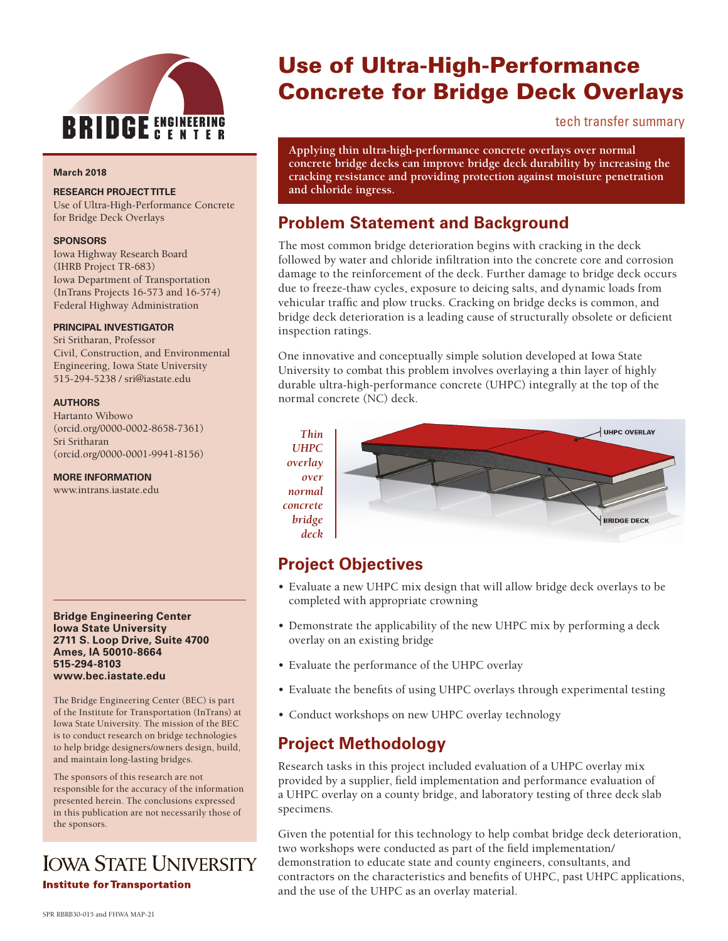

#### **March 2018**

#### **RESEARCH PROJECT TITLE**

Use of Ultra-High-Performance Concrete for Bridge Deck Overlays

#### **SPONSORS**

Iowa Highway Research Board (IHRB Project TR-683) Iowa Department of Transportation (InTrans Projects 16-573 and 16-574) Federal Highway Administration

#### **PRINCIPAL INVESTIGATOR**

Sri Sritharan, Professor Civil, Construction, and Environmental Engineering, Iowa State University 515-294-5238 / sri@iastate.edu

#### **AUTHORS**

Hartanto Wibowo (orcid.org/0000-0002-8658-7361) Sri Sritharan (orcid.org/0000-0001-9941-8156)

**MORE INFORMATION**

www.intrans.iastate.edu

#### **Bridge Engineering Center Iowa State University 2711 S. Loop Drive, Suite 4700 Ames, IA 50010-8664 515-294-8103 www.bec.iastate.edu**

The Bridge Engineering Center (BEC) is part of the Institute for Transportation (InTrans) at Iowa State University. The mission of the BEC is to conduct research on bridge technologies to help bridge designers/owners design, build, and maintain long-lasting bridges.

The sponsors of this research are not responsible for the accuracy of the information presented herein. The conclusions expressed in this publication are not necessarily those of the sponsors.

# **IOWA STATE UNIVERSITY Institute for Transportation**

# Use of Ultra-High-Performance Concrete for Bridge Deck Overlays

tech transfer summary

**Applying thin ultra-high-performance concrete overlays over normal concrete bridge decks can improve bridge deck durability by increasing the cracking resistance and providing protection against moisture penetration and chloride ingress.**

### **Problem Statement and Background**

The most common bridge deterioration begins with cracking in the deck followed by water and chloride infiltration into the concrete core and corrosion damage to the reinforcement of the deck. Further damage to bridge deck occurs due to freeze-thaw cycles, exposure to deicing salts, and dynamic loads from vehicular traffic and plow trucks. Cracking on bridge decks is common, and bridge deck deterioration is a leading cause of structurally obsolete or deficient inspection ratings.

One innovative and conceptually simple solution developed at Iowa State University to combat this problem involves overlaying a thin layer of highly durable ultra-high-performance concrete (UHPC) integrally at the top of the normal concrete (NC) deck.

*Thin UHPC overlay over normal concrete bridge deck*



### **Project Objectives**

- Evaluate a new UHPC mix design that will allow bridge deck overlays to be completed with appropriate crowning
- Demonstrate the applicability of the new UHPC mix by performing a deck overlay on an existing bridge
- Evaluate the performance of the UHPC overlay
- Evaluate the benefits of using UHPC overlays through experimental testing
- Conduct workshops on new UHPC overlay technology

### **Project Methodology**

Research tasks in this project included evaluation of a UHPC overlay mix provided by a supplier, field implementation and performance evaluation of a UHPC overlay on a county bridge, and laboratory testing of three deck slab specimens.

Given the potential for this technology to help combat bridge deck deterioration, two workshops were conducted as part of the field implementation/ demonstration to educate state and county engineers, consultants, and contractors on the characteristics and benefits of UHPC, past UHPC applications, and the use of the UHPC as an overlay material.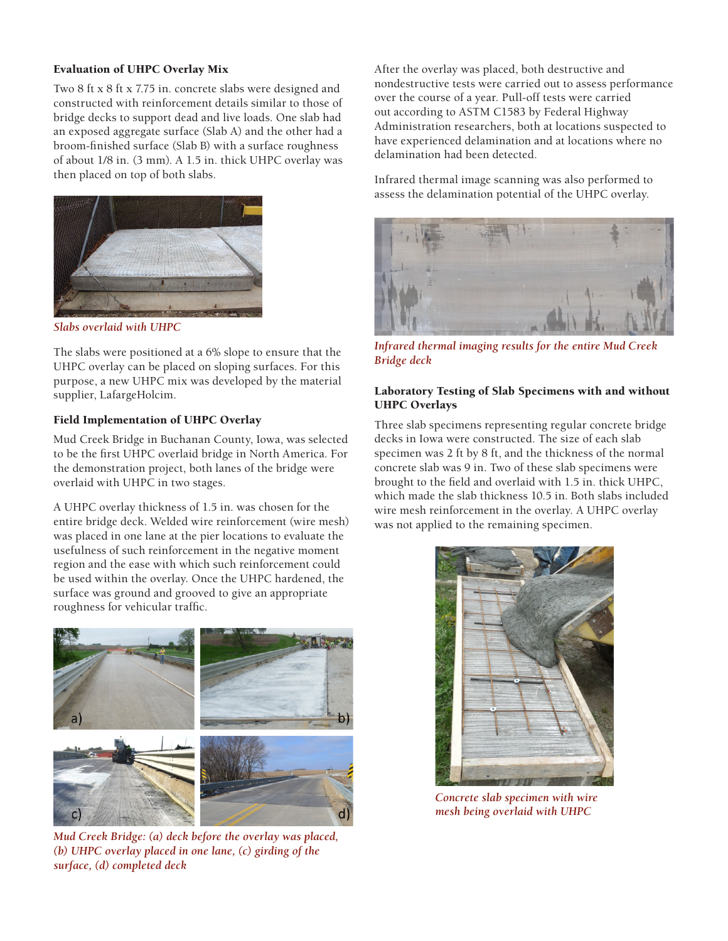### Evaluation of UHPC Overlay Mix

Two 8 ft x 8 ft x 7.75 in. concrete slabs were designed and constructed with reinforcement details similar to those of bridge decks to support dead and live loads. One slab had an exposed aggregate surface (Slab A) and the other had a broom-finished surface (Slab B) with a surface roughness of about 1/8 in. (3 mm). A 1.5 in. thick UHPC overlay was then placed on top of both slabs.



*Slabs overlaid with UHPC*

The slabs were positioned at a 6% slope to ensure that the UHPC overlay can be placed on sloping surfaces. For this purpose, a new UHPC mix was developed by the material supplier, LafargeHolcim.

### Field Implementation of UHPC Overlay

Mud Creek Bridge in Buchanan County, Iowa, was selected to be the first UHPC overlaid bridge in North America. For the demonstration project, both lanes of the bridge were overlaid with UHPC in two stages.

A UHPC overlay thickness of 1.5 in. was chosen for the entire bridge deck. Welded wire reinforcement (wire mesh) was placed in one lane at the pier locations to evaluate the usefulness of such reinforcement in the negative moment region and the ease with which such reinforcement could be used within the overlay. Once the UHPC hardened, the surface was ground and grooved to give an appropriate roughness for vehicular traffic.



*Mud Creek Bridge: (a) deck before the overlay was placed, (b) UHPC overlay placed in one lane, (c) girding of the surface, (d) completed deck*

After the overlay was placed, both destructive and nondestructive tests were carried out to assess performance over the course of a year. Pull-off tests were carried out according to ASTM C1583 by Federal Highway Administration researchers, both at locations suspected to have experienced delamination and at locations where no delamination had been detected.

Infrared thermal image scanning was also performed to assess the delamination potential of the UHPC overlay.



*Infrared thermal imaging results for the entire Mud Creek Bridge deck*

### Laboratory Testing of Slab Specimens with and without UHPC Overlays

Three slab specimens representing regular concrete bridge decks in Iowa were constructed. The size of each slab specimen was 2 ft by 8 ft, and the thickness of the normal concrete slab was 9 in. Two of these slab specimens were brought to the field and overlaid with 1.5 in. thick UHPC, which made the slab thickness 10.5 in. Both slabs included wire mesh reinforcement in the overlay. A UHPC overlay was not applied to the remaining specimen.



*Concrete slab specimen with wire mesh being overlaid with UHPC*